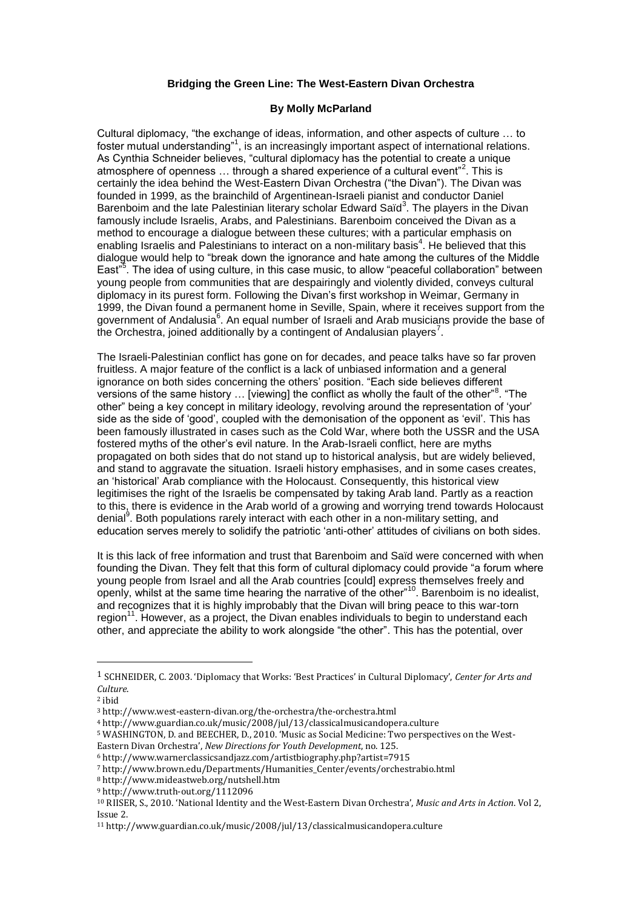## **Bridging the Green Line: The West-Eastern Divan Orchestra**

## **By Molly McParland**

Cultural diplomacy, "the exchange of ideas, information, and other aspects of culture … to foster mutual understanding"<sup>1</sup>, is an increasingly important aspect of international relations. As Cynthia Schneider believes, "cultural diplomacy has the potential to create a unique atmosphere of openness  $\ldots$  through a shared experience of a cultural event"<sup>2</sup>. This is certainly the idea behind the West-Eastern Divan Orchestra ("the Divan"). The Divan was founded in 1999, as the brainchild of Argentinean-Israeli pianist and conductor Daniel Barenboim and the late Palestinian literary scholar Edward Saïd<sup>3</sup>. The players in the Divan famously include Israelis, Arabs, and Palestinians. Barenboim conceived the Divan as a method to encourage a dialogue between these cultures; with a particular emphasis on enabling Israelis and Palestinians to interact on a non-military basis<sup>4</sup>. He believed that this dialogue would help to "break down the ignorance and hate among the cultures of the Middle East"<sup>5</sup>. The idea of using culture, in this case music, to allow "peaceful collaboration" between young people from communities that are despairingly and violently divided, conveys cultural diplomacy in its purest form. Following the Divan"s first workshop in Weimar, Germany in 1999, the Divan found a permanent home in Seville, Spain, where it receives support from the government of Andalusia<sup>6</sup>. An equal number of Israeli and Arab musicians provide the base of the Orchestra, joined additionally by a contingent of Andalusian players<sup>7</sup>.

The Israeli-Palestinian conflict has gone on for decades, and peace talks have so far proven fruitless. A major feature of the conflict is a lack of unbiased information and a general ignorance on both sides concerning the others" position. "Each side believes different versions of the same history  $\ldots$  [viewing] the conflict as wholly the fault of the other"<sup>8</sup>. "The other" being a key concept in military ideology, revolving around the representation of "your" side as the side of 'good', coupled with the demonisation of the opponent as 'evil'. This has been famously illustrated in cases such as the Cold War, where both the USSR and the USA fostered myths of the other"s evil nature. In the Arab-Israeli conflict, here are myths propagated on both sides that do not stand up to historical analysis, but are widely believed, and stand to aggravate the situation. Israeli history emphasises, and in some cases creates, an "historical" Arab compliance with the Holocaust. Consequently, this historical view legitimises the right of the Israelis be compensated by taking Arab land. Partly as a reaction to this, there is evidence in the Arab world of a growing and worrying trend towards Holocaust denial<sup>9</sup>. Both populations rarely interact with each other in a non-military setting, and education serves merely to solidify the patriotic "anti-other" attitudes of civilians on both sides.

It is this lack of free information and trust that Barenboim and Saïd were concerned with when founding the Divan. They felt that this form of cultural diplomacy could provide "a forum where young people from Israel and all the Arab countries [could] express themselves freely and openly, whilst at the same time hearing the narrative of the other"<sup>10</sup>. Barenboim is no idealist, and recognizes that it is highly improbably that the Divan will bring peace to this war-torn region<sup>11</sup>. However, as a project, the Divan enables individuals to begin to understand each other, and appreciate the ability to work alongside "the other". This has the potential, over

 $\overline{a}$ 

<sup>1</sup> SCHNEIDER, C. 2003. 'Diplomacy that Works: 'Best Practices' in Cultural Diplomacy', *Center for Arts and Culture*.

<sup>2</sup> ibid

<sup>3</sup> http://www.west-eastern-divan.org/the-orchestra/the-orchestra.html

<sup>4</sup> http://www.guardian.co.uk/music/2008/jul/13/classicalmusicandopera.culture

<sup>5</sup> WASHINGTON, D. and BEECHER, D., 2010. 'Music as Social Medicine: Two perspectives on the West-Eastern Divan Orchestra', *New Directions for Youth Development*, no. 125.

<sup>6</sup> http://www.warnerclassicsandjazz.com/artistbiography.php?artist=7915

<sup>7</sup> http://www.brown.edu/Departments/Humanities\_Center/events/orchestrabio.html

<sup>8</sup> http://www.mideastweb.org/nutshell.htm

<sup>9</sup> http://www.truth-out.org/1112096

<sup>10</sup> RIISER, S., 2010. 'National Identity and the West-Eastern Divan Orchestra', *Music and Arts in Action*. Vol 2, Issue 2.

<sup>11</sup> http://www.guardian.co.uk/music/2008/jul/13/classicalmusicandopera.culture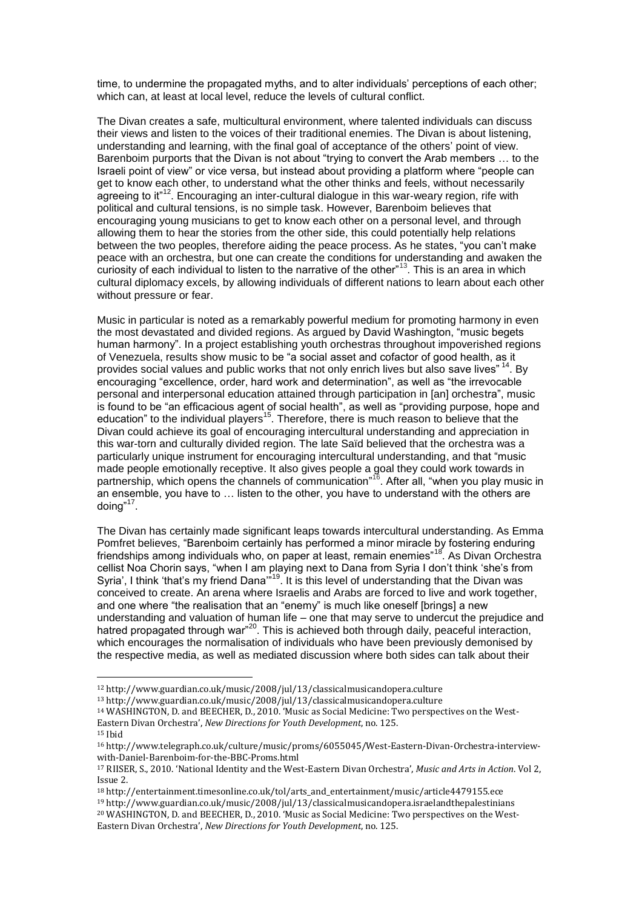time, to undermine the propagated myths, and to alter individuals" perceptions of each other; which can, at least at local level, reduce the levels of cultural conflict.

The Divan creates a safe, multicultural environment, where talented individuals can discuss their views and listen to the voices of their traditional enemies. The Divan is about listening, understanding and learning, with the final goal of acceptance of the others" point of view. Barenboim purports that the Divan is not about "trying to convert the Arab members … to the Israeli point of view" or vice versa, but instead about providing a platform where "people can get to know each other, to understand what the other thinks and feels, without necessarily agreeing to it"<sup>12</sup>. Encouraging an inter-cultural dialogue in this war-weary region, rife with political and cultural tensions, is no simple task. However, Barenboim believes that encouraging young musicians to get to know each other on a personal level, and through allowing them to hear the stories from the other side, this could potentially help relations between the two peoples, therefore aiding the peace process. As he states, "you can"t make peace with an orchestra, but one can create the conditions for understanding and awaken the curiosity of each individual to listen to the narrative of the other"<sup>13</sup>. This is an area in which cultural diplomacy excels, by allowing individuals of different nations to learn about each other without pressure or fear.

Music in particular is noted as a remarkably powerful medium for promoting harmony in even the most devastated and divided regions. As argued by David Washington, "music begets human harmony". In a project establishing youth orchestras throughout impoverished regions of Venezuela, results show music to be "a social asset and cofactor of good health, as it provides social values and public works that not only enrich lives but also save lives" <sup>14</sup>. By encouraging "excellence, order, hard work and determination", as well as "the irrevocable personal and interpersonal education attained through participation in [an] orchestra", music is found to be "an efficacious agent of social health", as well as "providing purpose, hope and education" to the individual players<sup>15</sup>. Therefore, there is much reason to believe that the Divan could achieve its goal of encouraging intercultural understanding and appreciation in this war-torn and culturally divided region. The late Saïd believed that the orchestra was a particularly unique instrument for encouraging intercultural understanding, and that "music made people emotionally receptive. It also gives people a goal they could work towards in partnership, which opens the channels of communication"<sup>16</sup>. After all, "when you play music in an ensemble, you have to … listen to the other, you have to understand with the others are doing"<sup>17</sup>.

The Divan has certainly made significant leaps towards intercultural understanding. As Emma Pomfret believes, "Barenboim certainly has performed a minor miracle by fostering enduring friendships among individuals who, on paper at least, remain enemies"<sup>18</sup>. As Divan Orchestra cellist Noa Chorin says, "when I am playing next to Dana from Syria I don"t think "she"s from Syria', I think 'that's my friend Dana"<sup>19</sup>. It is this level of understanding that the Divan was conceived to create. An arena where Israelis and Arabs are forced to live and work together, and one where "the realisation that an "enemy" is much like oneself [brings] a new understanding and valuation of human life – one that may serve to undercut the prejudice and hatred propagated through war"<sup>20</sup>. This is achieved both through daily, peaceful interaction, which encourages the normalisation of individuals who have been previously demonised by the respective media, as well as mediated discussion where both sides can talk about their

 $\overline{\phantom{a}}$ 

<sup>12</sup> http://www.guardian.co.uk/music/2008/jul/13/classicalmusicandopera.culture

<sup>13</sup> http://www.guardian.co.uk/music/2008/jul/13/classicalmusicandopera.culture

<sup>14</sup> WASHINGTON, D. and BEECHER, D., 2010. 'Music as Social Medicine: Two perspectives on the West-Eastern Divan Orchestra', *New Directions for Youth Development*, no. 125.

<sup>15</sup> Ibid

<sup>16</sup> http://www.telegraph.co.uk/culture/music/proms/6055045/West-Eastern-Divan-Orchestra-interviewwith-Daniel-Barenboim-for-the-BBC-Proms.html

<sup>17</sup> RIISER, S., 2010. 'National Identity and the West-Eastern Divan Orchestra', *Music and Arts in Action*. Vol 2, Issue 2.

<sup>18</sup> http://entertainment.timesonline.co.uk/tol/arts\_and\_entertainment/music/article4479155.ece

<sup>19</sup> http://www.guardian.co.uk/music/2008/jul/13/classicalmusicandopera.israelandthepalestinians

<sup>20</sup> WASHINGTON, D. and BEECHER, D., 2010. 'Music as Social Medicine: Two perspectives on the West-Eastern Divan Orchestra', *New Directions for Youth Development*, no. 125.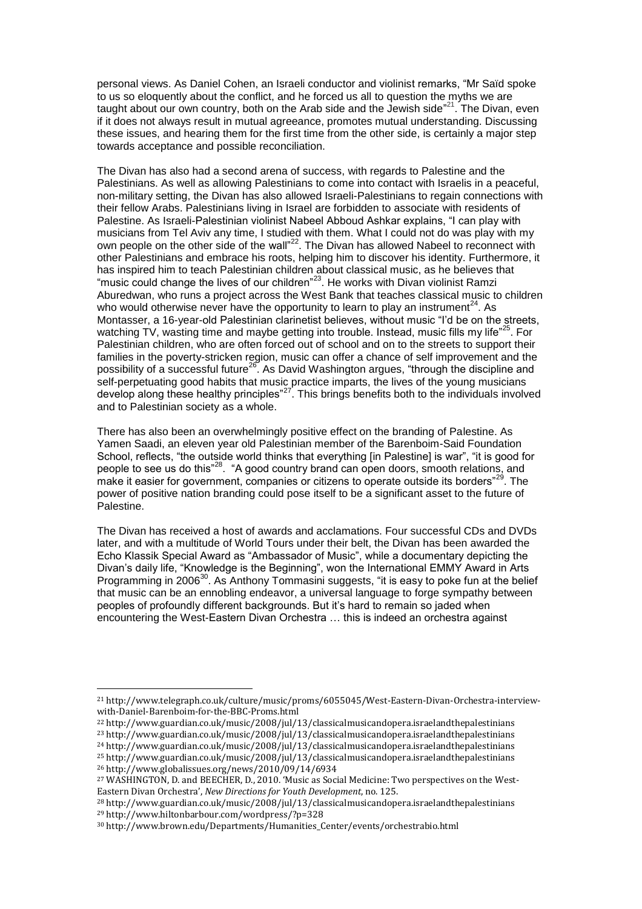personal views. As Daniel Cohen, an Israeli conductor and violinist remarks, "Mr Saïd spoke to us so eloquently about the conflict, and he forced us all to question the myths we are taught about our own country, both on the Arab side and the Jewish side"<sup>21</sup>. The Divan, even if it does not always result in mutual agreeance, promotes mutual understanding. Discussing these issues, and hearing them for the first time from the other side, is certainly a major step towards acceptance and possible reconciliation.

The Divan has also had a second arena of success, with regards to Palestine and the Palestinians. As well as allowing Palestinians to come into contact with Israelis in a peaceful, non-military setting, the Divan has also allowed Israeli-Palestinians to regain connections with their fellow Arabs. Palestinians living in Israel are forbidden to associate with residents of Palestine. As Israeli-Palestinian violinist Nabeel Abboud Ashkar explains, "I can play with musicians from Tel Aviv any time, I studied with them. What I could not do was play with my own people on the other side of the wall"<sup>22</sup>. The Divan has allowed Nabeel to reconnect with other Palestinians and embrace his roots, helping him to discover his identity. Furthermore, it has inspired him to teach Palestinian children about classical music, as he believes that "music could change the lives of our children"<sup>23</sup>. He works with Divan violinist Ramzi Aburedwan, who runs a project across the West Bank that teaches classical music to children who would otherwise never have the opportunity to learn to play an instrument<sup>24</sup>. As Montasser, a 16-year-old Palestinian clarinetist believes, without music "I"d be on the streets, watching TV, wasting time and maybe getting into trouble. Instead, music fills my life"<sup>25</sup>. For Palestinian children, who are often forced out of school and on to the streets to support their families in the poverty-stricken region, music can offer a chance of self improvement and the possibility of a successful future<sup>26</sup>. As David Washington argues, "through the discipline and self-perpetuating good habits that music practice imparts, the lives of the young musicians develop along these healthy principles"<sup>27</sup>. This brings benefits both to the individuals involved and to Palestinian society as a whole.

There has also been an overwhelmingly positive effect on the branding of Palestine. As Yamen Saadi, an eleven year old Palestinian member of the Barenboim-Said Foundation School, reflects, "the outside world thinks that everything [in Palestine] is war", "it is good for people to see us do this"<sup>28</sup>. "A good country brand can open doors, smooth relations, and make it easier for government, companies or citizens to operate outside its borders<sup>"29</sup>. The power of positive nation branding could pose itself to be a significant asset to the future of Palestine.

The Divan has received a host of awards and acclamations. Four successful CDs and DVDs later, and with a multitude of World Tours under their belt, the Divan has been awarded the Echo Klassik Special Award as "Ambassador of Music", while a documentary depicting the Divan"s daily life, "Knowledge is the Beginning", won the International EMMY Award in Arts Programming in 2006<sup>30</sup>. As Anthony Tommasini suggests, "it is easy to poke fun at the belief that music can be an ennobling endeavor, a universal language to forge sympathy between peoples of profoundly different backgrounds. But it"s hard to remain so jaded when encountering the West-Eastern Divan Orchestra … this is indeed an orchestra against

<sup>24</sup> http://www.guardian.co.uk/music/2008/jul/13/classicalmusicandopera.israelandthepalestinians

 $\overline{\phantom{a}}$ 

<sup>21</sup> http://www.telegraph.co.uk/culture/music/proms/6055045/West-Eastern-Divan-Orchestra-interviewwith-Daniel-Barenboim-for-the-BBC-Proms.html

<sup>22</sup> http://www.guardian.co.uk/music/2008/jul/13/classicalmusicandopera.israelandthepalestinians

<sup>23</sup> http://www.guardian.co.uk/music/2008/jul/13/classicalmusicandopera.israelandthepalestinians

<sup>25</sup> http://www.guardian.co.uk/music/2008/jul/13/classicalmusicandopera.israelandthepalestinians

<sup>26</sup> http://www.globalissues.org/news/2010/09/14/6934

<sup>27</sup> WASHINGTON, D. and BEECHER, D., 2010. 'Music as Social Medicine: Two perspectives on the West-Eastern Divan Orchestra', *New Directions for Youth Development*, no. 125.

<sup>28</sup> http://www.guardian.co.uk/music/2008/jul/13/classicalmusicandopera.israelandthepalestinians <sup>29</sup> http://www.hiltonbarbour.com/wordpress/?p=328

<sup>30</sup> http://www.brown.edu/Departments/Humanities\_Center/events/orchestrabio.html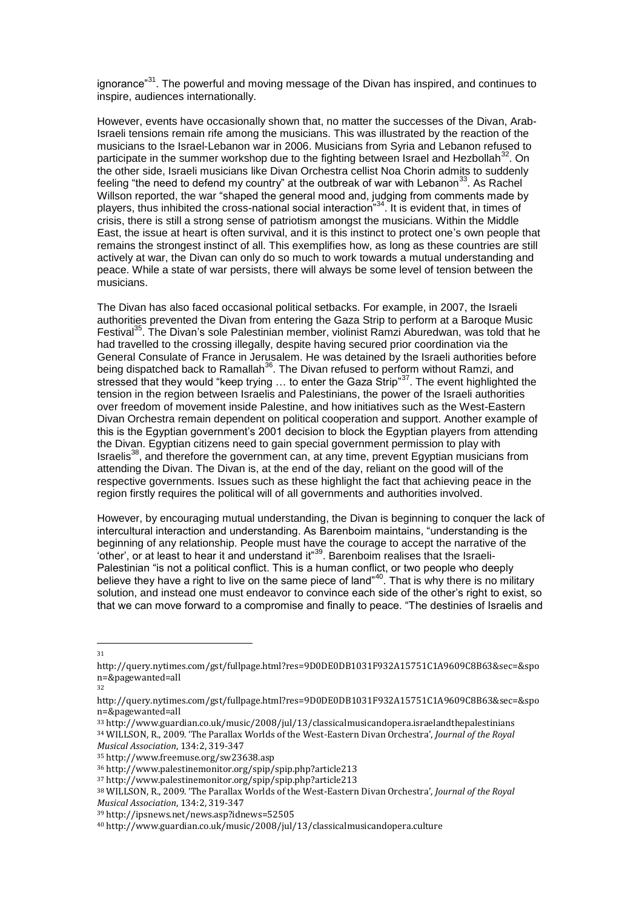ignorance $^{31}$ . The powerful and moving message of the Divan has inspired, and continues to inspire, audiences internationally.

However, events have occasionally shown that, no matter the successes of the Divan, Arab-Israeli tensions remain rife among the musicians. This was illustrated by the reaction of the musicians to the Israel-Lebanon war in 2006. Musicians from Syria and Lebanon refused to participate in the summer workshop due to the fighting between Israel and Hezbollah<sup>32</sup>. On the other side, Israeli musicians like Divan Orchestra cellist Noa Chorin admits to suddenly feeling "the need to defend my country" at the outbreak of war with Lebanon<sup>33</sup>. As Rachel Willson reported, the war "shaped the general mood and, judging from comments made by players, thus inhibited the cross-national social interaction"<sup>34</sup>. It is evident that, in times of crisis, there is still a strong sense of patriotism amongst the musicians. Within the Middle East, the issue at heart is often survival, and it is this instinct to protect one"s own people that remains the strongest instinct of all. This exemplifies how, as long as these countries are still actively at war, the Divan can only do so much to work towards a mutual understanding and peace. While a state of war persists, there will always be some level of tension between the musicians.

The Divan has also faced occasional political setbacks. For example, in 2007, the Israeli authorities prevented the Divan from entering the Gaza Strip to perform at a Baroque Music Festival<sup>35</sup>. The Divan's sole Palestinian member, violinist Ramzi Aburedwan, was told that he had travelled to the crossing illegally, despite having secured prior coordination via the General Consulate of France in Jerusalem. He was detained by the Israeli authorities before being dispatched back to Ramallah<sup>36</sup>. The Divan refused to perform without Ramzi, and stressed that they would "keep trying ... to enter the Gaza Strip"<sup>37</sup>. The event highlighted the tension in the region between Israelis and Palestinians, the power of the Israeli authorities over freedom of movement inside Palestine, and how initiatives such as the West-Eastern Divan Orchestra remain dependent on political cooperation and support. Another example of this is the Egyptian government"s 2001 decision to block the Egyptian players from attending the Divan. Egyptian citizens need to gain special government permission to play with Israelis<sup>38</sup>, and therefore the government can, at any time, prevent Egyptian musicians from attending the Divan. The Divan is, at the end of the day, reliant on the good will of the respective governments. Issues such as these highlight the fact that achieving peace in the region firstly requires the political will of all governments and authorities involved.

However, by encouraging mutual understanding, the Divan is beginning to conquer the lack of intercultural interaction and understanding. As Barenboim maintains, "understanding is the beginning of any relationship. People must have the courage to accept the narrative of the 'other', or at least to hear it and understand it"<sup>39</sup>. Barenboim realises that the Israeli-Palestinian "is not a political conflict. This is a human conflict, or two people who deeply believe they have a right to live on the same piece of land"<sup>40</sup>. That is why there is no military solution, and instead one must endeavor to convince each side of the other"s right to exist, so that we can move forward to a compromise and finally to peace. "The destinies of Israelis and

 $\overline{\phantom{a}}$ 31

32

*Musical Association*, 134:2, 319-347 <sup>35</sup> http://www.freemuse.org/sw23638.asp

*Musical Association*, 134:2, 319-347

http://query.nytimes.com/gst/fullpage.html?res=9D0DE0DB1031F932A15751C1A9609C8B63&sec=&spo n=&pagewanted=all

http://query.nytimes.com/gst/fullpage.html?res=9D0DE0DB1031F932A15751C1A9609C8B63&sec=&spo n=&pagewanted=all

<sup>33</sup> http://www.guardian.co.uk/music/2008/jul/13/classicalmusicandopera.israelandthepalestinians <sup>34</sup> WILLSON, R., 2009. 'The Parallax Worlds of the West-Eastern Divan Orchestra', *Journal of the Royal* 

<sup>36</sup> http://www.palestinemonitor.org/spip/spip.php?article213

<sup>37</sup> http://www.palestinemonitor.org/spip/spip.php?article213 <sup>38</sup> WILLSON, R., 2009. 'The Parallax Worlds of the West-Eastern Divan Orchestra', *Journal of the Royal* 

<sup>39</sup> http://ipsnews.net/news.asp?idnews=52505

<sup>40</sup> http://www.guardian.co.uk/music/2008/jul/13/classicalmusicandopera.culture